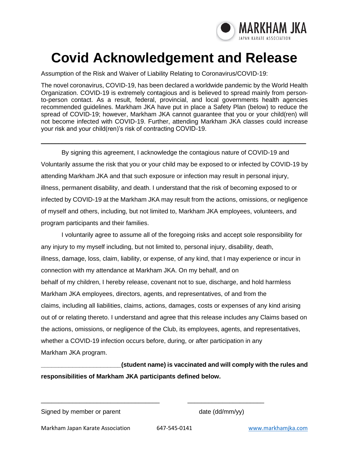

# **Covid Acknowledgement and Release**

Assumption of the Risk and Waiver of Liability Relating to Coronavirus/COVID-19:

The novel coronavirus, COVID-19, has been declared a worldwide pandemic by the World Health Organization. COVID-19 is extremely contagious and is believed to spread mainly from personto-person contact. As a result, federal, provincial, and local governments health agencies recommended guidelines. Markham JKA have put in place a Safety Plan (below) to reduce the spread of COVID-19; however, Markham JKA cannot guarantee that you or your child(ren) will not become infected with COVID-19. Further, attending Markham JKA classes could increase your risk and your child(ren)'s risk of contracting COVID-19.

\_\_\_\_\_\_\_\_\_\_\_\_\_\_\_\_\_\_\_\_\_\_\_\_\_\_\_\_\_\_\_\_\_\_\_\_\_\_\_\_\_\_\_\_\_\_\_\_\_\_\_\_\_\_\_\_\_\_\_\_\_\_\_\_\_\_\_\_\_\_\_\_\_\_\_\_

By signing this agreement, I acknowledge the contagious nature of COVID-19 and Voluntarily assume the risk that you or your child may be exposed to or infected by COVID-19 by attending Markham JKA and that such exposure or infection may result in personal injury, illness, permanent disability, and death. I understand that the risk of becoming exposed to or infected by COVID-19 at the Markham JKA may result from the actions, omissions, or negligence of myself and others, including, but not limited to, Markham JKA employees, volunteers, and program participants and their families.

I voluntarily agree to assume all of the foregoing risks and accept sole responsibility for any injury to my myself including, but not limited to, personal injury, disability, death, illness, damage, loss, claim, liability, or expense, of any kind, that I may experience or incur in connection with my attendance at Markham JKA. On my behalf, and on behalf of my children, I hereby release, covenant not to sue, discharge, and hold harmless Markham JKA employees, directors, agents, and representatives, of and from the claims, including all liabilities, claims, actions, damages, costs or expenses of any kind arising out of or relating thereto. I understand and agree that this release includes any Claims based on the actions, omissions, or negligence of the Club, its employees, agents, and representatives, whether a COVID-19 infection occurs before, during, or after participation in any Markham JKA program.

**\_\_\_\_\_\_\_\_\_\_\_\_\_\_\_\_\_\_\_\_\_\_\_(student name) is vaccinated and will comply with the rules and responsibilities of Markham JKA participants defined below.**

Signed by member or parent date (dd/mm/yy)

Markham Japan Karate Association 647-545-0141 [www.markhamjka.com](file:///C:/Users/Tom/Documents/karate/www.markhamjka.com)

\_\_\_\_\_\_\_\_\_\_\_\_\_\_\_\_\_\_\_\_\_\_\_\_\_\_\_\_\_\_\_\_\_\_ \_\_\_\_\_\_\_\_\_\_\_\_\_\_\_\_\_\_\_\_\_\_